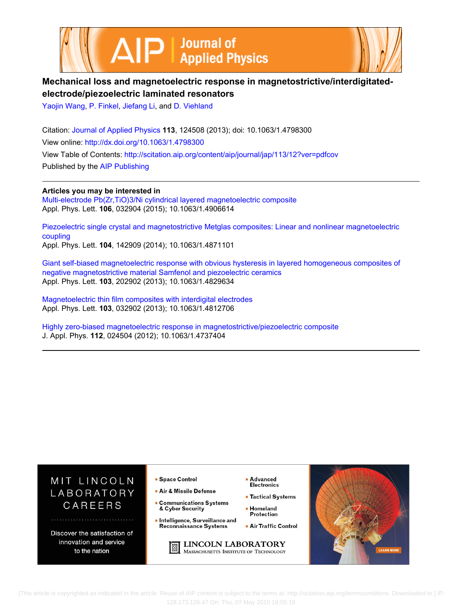



## **Mechanical loss and magnetoelectric response in magnetostrictive/interdigitatedelectrode/piezoelectric laminated resonators**

[Yaojin Wang,](http://scitation.aip.org/search?value1=Yaojin+Wang&option1=author) [P. Finkel](http://scitation.aip.org/search?value1=P.+Finkel&option1=author), [Jiefang Li](http://scitation.aip.org/search?value1=Jiefang+Li&option1=author), and [D. Viehland](http://scitation.aip.org/search?value1=D.+Viehland&option1=author)

Citation: [Journal of Applied Physics](http://scitation.aip.org/content/aip/journal/jap?ver=pdfcov) **113**, 124508 (2013); doi: 10.1063/1.4798300 View online: <http://dx.doi.org/10.1063/1.4798300> View Table of Contents: <http://scitation.aip.org/content/aip/journal/jap/113/12?ver=pdfcov> Published by the [AIP Publishing](http://scitation.aip.org/content/aip?ver=pdfcov)

**Articles you may be interested in** [Multi-electrode Pb\(Zr,TiO\)3/Ni cylindrical layered magnetoelectric composite](http://scitation.aip.org/content/aip/journal/apl/106/3/10.1063/1.4906614?ver=pdfcov) Appl. Phys. Lett. **106**, 032904 (2015); 10.1063/1.4906614

[Piezoelectric single crystal and magnetostrictive Metglas composites: Linear and nonlinear magnetoelectric](http://scitation.aip.org/content/aip/journal/apl/104/14/10.1063/1.4871101?ver=pdfcov) [coupling](http://scitation.aip.org/content/aip/journal/apl/104/14/10.1063/1.4871101?ver=pdfcov) Appl. Phys. Lett. **104**, 142909 (2014); 10.1063/1.4871101

[Giant self-biased magnetoelectric response with obvious hysteresis in layered homogeneous composites of](http://scitation.aip.org/content/aip/journal/apl/103/20/10.1063/1.4829634?ver=pdfcov) [negative magnetostrictive material Samfenol and piezoelectric ceramics](http://scitation.aip.org/content/aip/journal/apl/103/20/10.1063/1.4829634?ver=pdfcov) Appl. Phys. Lett. **103**, 202902 (2013); 10.1063/1.4829634

[Magnetoelectric thin film composites with interdigital electrodes](http://scitation.aip.org/content/aip/journal/apl/103/3/10.1063/1.4812706?ver=pdfcov) Appl. Phys. Lett. **103**, 032902 (2013); 10.1063/1.4812706

[Highly zero-biased magnetoelectric response in magnetostrictive/piezoelectric composite](http://scitation.aip.org/content/aip/journal/jap/112/2/10.1063/1.4737404?ver=pdfcov) J. Appl. Phys. **112**, 024504 (2012); 10.1063/1.4737404



 [This article is copyrighted as indicated in the article. Reuse of AIP content is subject to the terms at: http://scitation.aip.org/termsconditions. Downloaded to ] IP: 128.173.126.47 On: Thu, 07 May 2015 18:55:18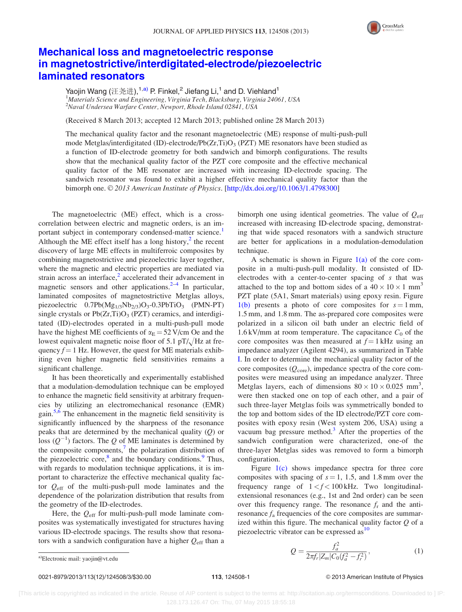

## [Mechanical loss and magnetoelectric response](http://dx.doi.org/10.1063/1.4798300) [in magnetostrictive/interdigitated-electrode/piezoelectric](http://dx.doi.org/10.1063/1.4798300) [laminated resonators](http://dx.doi.org/10.1063/1.4798300)

Yaojin Wang (汪尧进),<sup>1,a)</sup> P. Finkel,<sup>2</sup> Jiefang Li,<sup>1</sup> and D. Viehland<sup>1</sup> <sup>1</sup>Materials Science and Engineering, Virginia Tech, Blacksburg, Virginia 24061, USA 2 Naval Undersea Warfare Center, Newport, Rhode Island 02841, USA

(Received 8 March 2013; accepted 12 March 2013; published online 28 March 2013)

The mechanical quality factor and the resonant magnetoelectric (ME) response of multi-push-pull mode Metglas/interdigitated (ID)-electrode/Pb( $Zr, Ti)O<sub>3</sub>$  (PZT) ME resonators have been studied as a function of ID-electrode geometry for both sandwich and bimorph configurations. The results show that the mechanical quality factor of the PZT core composite and the effective mechanical quality factor of the ME resonator are increased with increasing ID-electrode spacing. The sandwich resonator was found to exhibit a higher effective mechanical quality factor than the bimorph one. © 2013 American Institute of Physics. [[http://dx.doi.org/10.1063/1.4798300\]](http://dx.doi.org/10.1063/1.4798300)

The magnetoelectric (ME) effect, which is a crosscorrelation between electric and magnetic orders, is an im-portant subject in contemporary condensed-matter science.<sup>[1](#page-3-0)</sup> Although the ME effect itself has a long history, $\frac{2}{3}$  the recent discovery of large ME effects in multiferroic composites by combining magnetostrictive and piezoelectric layer together, where the magnetic and electric properties are mediated via strain across an interface, $2$  accelerated their advancement in magnetic sensors and other applications. $2-4$  $2-4$  $2-4$  In particular, laminated composites of magnetostrictive Metglas alloys, piezoelectric  $0.7Pb(Mg_{1/3}Nb_{2/3})O_3-0.3PbTiO_3$  (PMN-PT) single crystals or  $Pb(Zr,Ti)O<sub>3</sub>$  (PZT) ceramics, and interdigitated (ID)-electrodes operated in a multi-push-pull mode have the highest ME coefficients of  $\alpha_E = 52$  V/cm Oe and the lowest equivalent magnetic noise floor of 5.1 pT/ $\sqrt{Hz}$  at frequency  $f = 1$  Hz. However, the quest for ME materials exhibiting even higher magnetic field sensitivities remains a significant challenge.

It has been theoretically and experimentally established that a modulation-demodulation technique can be employed to enhance the magnetic field sensitivity at arbitrary frequencies by utilizing an electromechanical resonance (EMR) gain.<sup>[5,6](#page-3-0)</sup> The enhancement in the magnetic field sensitivity is significantly influenced by the sharpness of the resonance peaks that are determined by the mechanical quality  $(Q)$  or loss  $(Q^{-1})$  factors. The Q of ME laminates is determined by the composite components, $\frac{7}{1}$  the polarization distribution of the piezoelectric core, $\delta$  and the boundary conditions. Thus, with regards to modulation technique applications, it is important to characterize the effective mechanical quality factor  $Q_{\text{eff}}$  of the multi-push-pull mode laminates and the dependence of the polarization distribution that results from the geometry of the ID-electrodes.

Here, the  $Q_{\text{eff}}$  for multi-push-pull mode laminate composites was systematically investigated for structures having various ID-electrode spacings. The results show that resonators with a sandwich configuration have a higher  $Q_{\text{eff}}$  than a bimorph one using identical geometries. The value of  $Q_{\text{eff}}$ increased with increasing ID-electrode spacing, demonstrating that wide spaced resonators with a sandwich structure are better for applications in a modulation-demodulation technique.

A schematic is shown in Figure  $1(a)$  of the core composite in a multi-push-pull modality. It consisted of IDelectrodes with a center-to-center spacing of s that was attached to the top and bottom sides of a  $40 \times 10 \times 1$  mm<sup>3</sup> PZT plate (5A1, Smart materials) using epoxy resin. Figure [1\(b\)](#page-2-0) presents a photo of core composites for  $s = 1$  mm, 1.5 mm, and 1.8 mm. The as-prepared core composites were polarized in a silicon oil bath under an electric field of 1.6 kV/mm at room temperature. The capacitance  $C_0$  of the core composites was then measured at  $f = 1$  kHz using an impedance analyzer (Agilent 4294), as summarized in Table [I](#page-2-0). In order to determine the mechanical quality factor of the core composites  $(Q<sub>core</sub>)$ , impedance spectra of the core composites were measured using an impedance analyzer. Three Metglas layers, each of dimensions  $80 \times 10 \times 0.025$  mm<sup>3</sup>, were then stacked one on top of each other, and a pair of such three-layer Metglas foils was symmetrically bonded to the top and bottom sides of the ID electrode/PZT core composites with epoxy resin (West system 206, USA) using a vacuum bag pressure method. $3$  After the properties of the sandwich configuration were characterized, one-of the three-layer Metglas sides was removed to form a bimorph configuration.

Figure [1\(c\)](#page-2-0) shows impedance spectra for three core composites with spacing of  $s = 1, 1.5,$  and 1.8 mm over the frequency range of  $1 < f < 100$  kHz. Two longitudinalextensional resonances (e.g., 1st and 2nd order) can be seen over this frequency range. The resonance  $f_r$  and the antiresonance  $f_a$  frequencies of the core composites are summarized within this figure. The mechanical quality factor  $Q$  of a piezoelectric vibrator can be expressed as  $10$ 

 $Q = \frac{f_a^2}{2\pi f_r |Z_m| C_0 (f_a^2 - f_r^2)}$ 

a)Electronic mail: [yaojin@vt.edu](mailto:yaojin@vt.edu)

0021-8979/2013/113(12)/124508/3/\$30.00 113, 124508-1 © 2013 American Institute of Physics

; (1)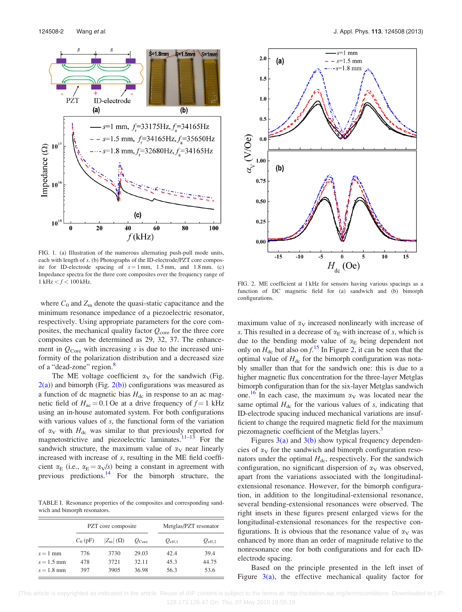<span id="page-2-0"></span>

FIG. 1. (a) Illustration of the numerous alternating push-pull mode units, each with length of s. (b) Photographs of the ID-electrode/PZT core composite for ID-electrode spacing of  $s = 1$  mm, 1.5 mm, and 1.8 mm. (c) Impedance spectra for the three core composites over the frequency range of 1 kHz  $< f < 100$  kHz.

where  $C_0$  and  $Z_m$  denote the quasi-static capacitance and the minimum resonance impedance of a piezoelectric resonator, respectively. Using appropriate parameters for the core composites, the mechanical quality factor  $Q_{\text{core}}$  for the three core composites can be determined as 29, 32, 37. The enhancement in  $Q_{\text{Core}}$  with increasing s is due to the increased uniformity of the polarization distribution and a decreased size of a "dead-zone" region.<sup>[8](#page-3-0)</sup>

The ME voltage coefficient  $\alpha_V$  for the sandwich (Fig.  $2(a)$ ) and bimorph (Fig. 2(b)) configurations was measured as a function of dc magnetic bias  $H_{dc}$  in response to an ac magnetic field of  $H_{ac} = 0.1$  Oe at a drive frequency of  $f = 1$  kHz using an in-house automated system. For both configurations with various values of s, the functional form of the variation of  $\alpha_V$  with  $H_{dc}$  was similar to that previously reported for magnetostrictive and piezoelectric laminates. $11-13$  For the sandwich structure, the maximum value of  $\alpha_V$  near linearly increased with increase of s, resulting in the ME field coefficient  $\alpha_E$  (i.e.,  $\alpha_E = \alpha_V/s$ ) being a constant in agreement with previous predictions. $14$  For the bimorph structure, the

TABLE I. Resonance properties of the composites and corresponding sandwich and bimorph resonators.

|              | PZT core composite |                   |                   | Metglas/PZT resonator |                 |
|--------------|--------------------|-------------------|-------------------|-----------------------|-----------------|
|              | $C_0$ (pF)         | $ Z_{m} (\Omega)$ | $Q_{\text{Core}}$ | $Q_{\rm eff,1}$       | $Q_{\rm eff,2}$ |
| $s = 1$ mm   | 776                | 3730              | 29.03             | 42.4                  | 39.4            |
| $s = 1.5$ mm | 478                | 3721              | 32.11             | 45.3                  | 44.75           |
| $s = 1.8$ mm | 397                | 3905              | 36.98             | 56.3                  | 53.6            |



FIG. 2. ME coefficient at 1 kHz for sensors having various spacings as a function of DC magnetic field for (a) sandwich and (b) bimorph configurations.

maximum value of  $\alpha_V$  increased nonlinearly with increase of s. This resulted in a decrease of  $\alpha_E$  with increase of s, which is due to the bending mode value of  $\alpha_E$  being dependent not only on  $H_{\text{dc}}$  but also on  $f^{15}$  $f^{15}$  $f^{15}$ . In Figure 2, it can be seen that the optimal value of  $H_{dc}$  for the bimorph configuration was notably smaller than that for the sandwich one: this is due to a higher magnetic flux concentration for the three-layer Metglas bimorph configuration than for the six-layer Metglas sandwich one.<sup>[16](#page-3-0)</sup> In each case, the maximum  $\alpha_V$  was located near the same optimal  $H_{dc}$  for the various values of s, indicating that ID-electrode spacing induced mechanical variations are insufficient to change the required magnetic field for the maximum piezomagnetic coefficient of the Metglas layers.<sup>3</sup>

Figures  $3(a)$  and  $3(b)$  show typical frequency dependencies of  $\alpha_V$  for the sandwich and bimorph configuration resonators under the optimal  $H_{dc}$ , respectively. For the sandwich configuration, no significant dispersion of  $\alpha_V$  was observed, apart from the variations associated with the longitudinalextensional resonance. However, for the bimorph configuration, in addition to the longitudinal-extensional resonance, several bending-extensional resonances were observed. The right insets in these figures present enlarged views for the longitudinal-extensional resonances for the respective configurations. It is obvious that the resonance value of  $\alpha_V$  was enhanced by more than an order of magnitude relative to the nonresonance one for both configurations and for each IDelectrode spacing.

Based on the principle presented in the left inset of Figure  $3(a)$ , the effective mechanical quality factor for